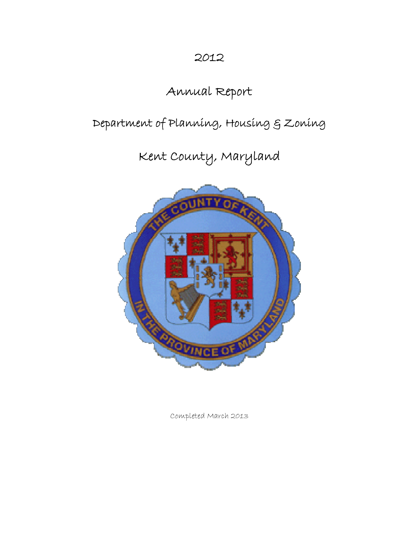# 2012

# Annual Report

# Department of Planning, Housing & Zoning

Kent County, Maryland



Completed March 2013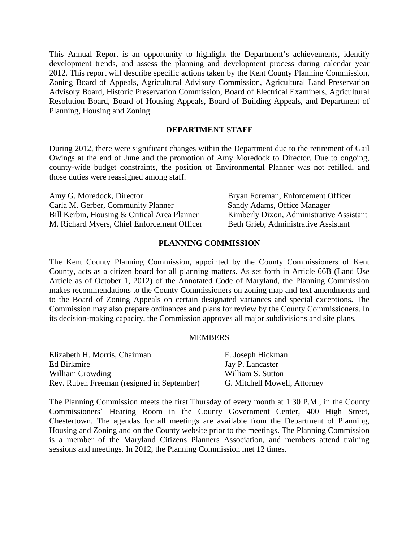This Annual Report is an opportunity to highlight the Department's achievements, identify development trends, and assess the planning and development process during calendar year 2012. This report will describe specific actions taken by the Kent County Planning Commission, Zoning Board of Appeals, Agricultural Advisory Commission, Agricultural Land Preservation Advisory Board, Historic Preservation Commission, Board of Electrical Examiners, Agricultural Resolution Board, Board of Housing Appeals, Board of Building Appeals, and Department of Planning, Housing and Zoning.

#### **DEPARTMENT STAFF**

During 2012, there were significant changes within the Department due to the retirement of Gail Owings at the end of June and the promotion of Amy Moredock to Director. Due to ongoing, county-wide budget constraints, the position of Environmental Planner was not refilled, and those duties were reassigned among staff.

| Amy G. Moredock, Director                    | Bryan Foreman, Enforcement Officer       |
|----------------------------------------------|------------------------------------------|
| Carla M. Gerber, Community Planner           | Sandy Adams, Office Manager              |
| Bill Kerbin, Housing & Critical Area Planner | Kimberly Dixon, Administrative Assistant |
| M. Richard Myers, Chief Enforcement Officer  | Beth Grieb, Administrative Assistant     |

#### **PLANNING COMMISSION**

The Kent County Planning Commission, appointed by the County Commissioners of Kent County, acts as a citizen board for all planning matters. As set forth in Article 66B (Land Use Article as of October 1, 2012) of the Annotated Code of Maryland, the Planning Commission makes recommendations to the County Commissioners on zoning map and text amendments and to the Board of Zoning Appeals on certain designated variances and special exceptions. The Commission may also prepare ordinances and plans for review by the County Commissioners. In its decision-making capacity, the Commission approves all major subdivisions and site plans.

#### MEMBERS

| Elizabeth H. Morris, Chairman              | F. Joseph Hickman            |
|--------------------------------------------|------------------------------|
| Ed Birkmire                                | Jay P. Lancaster             |
| William Crowding                           | William S. Sutton            |
| Rev. Ruben Freeman (resigned in September) | G. Mitchell Mowell, Attorney |

The Planning Commission meets the first Thursday of every month at 1:30 P.M., in the County Commissioners' Hearing Room in the County Government Center, 400 High Street, Chestertown. The agendas for all meetings are available from the Department of Planning, Housing and Zoning and on the County website prior to the meetings. The Planning Commission is a member of the Maryland Citizens Planners Association, and members attend training sessions and meetings. In 2012, the Planning Commission met 12 times.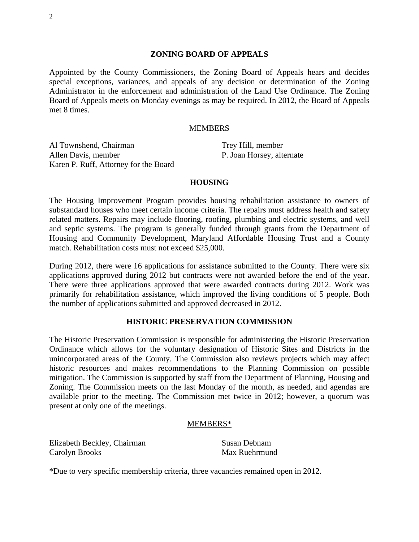#### **ZONING BOARD OF APPEALS**

Appointed by the County Commissioners, the Zoning Board of Appeals hears and decides special exceptions, variances, and appeals of any decision or determination of the Zoning Administrator in the enforcement and administration of the Land Use Ordinance. The Zoning Board of Appeals meets on Monday evenings as may be required. In 2012, the Board of Appeals met 8 times.

#### MEMBERS

Al Townshend, Chairman Allen Davis, member Karen P. Ruff, Attorney for the Board

Trey Hill, member P. Joan Horsey, alternate

#### **HOUSING**

The Housing Improvement Program provides housing rehabilitation assistance to owners of substandard houses who meet certain income criteria. The repairs must address health and safety related matters. Repairs may include flooring, roofing, plumbing and electric systems, and well and septic systems. The program is generally funded through grants from the Department of Housing and Community Development, Maryland Affordable Housing Trust and a County match. Rehabilitation costs must not exceed \$25,000.

During 2012, there were 16 applications for assistance submitted to the County. There were six applications approved during 2012 but contracts were not awarded before the end of the year. There were three applications approved that were awarded contracts during 2012. Work was primarily for rehabilitation assistance, which improved the living conditions of 5 people. Both the number of applications submitted and approved decreased in 2012.

## **HISTORIC PRESERVATION COMMISSION**

The Historic Preservation Commission is responsible for administering the Historic Preservation Ordinance which allows for the voluntary designation of Historic Sites and Districts in the unincorporated areas of the County. The Commission also reviews projects which may affect historic resources and makes recommendations to the Planning Commission on possible mitigation. The Commission is supported by staff from the Department of Planning, Housing and Zoning. The Commission meets on the last Monday of the month, as needed, and agendas are available prior to the meeting. The Commission met twice in 2012; however, a quorum was present at only one of the meetings.

#### MEMBERS\*

Elizabeth Beckley, Chairman Carolyn Brooks

Susan Debnam Max Ruehrmund

\*Due to very specific membership criteria, three vacancies remained open in 2012.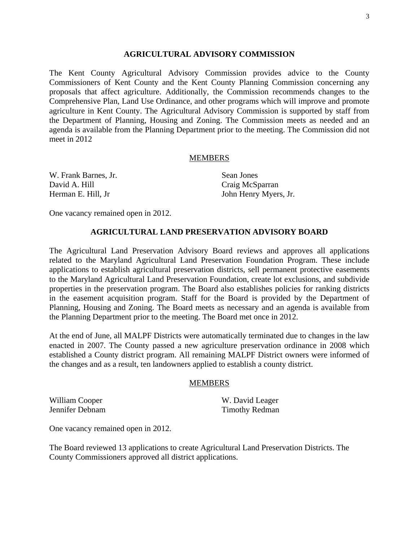#### **AGRICULTURAL ADVISORY COMMISSION**

The Kent County Agricultural Advisory Commission provides advice to the County Commissioners of Kent County and the Kent County Planning Commission concerning any proposals that affect agriculture. Additionally, the Commission recommends changes to the Comprehensive Plan, Land Use Ordinance, and other programs which will improve and promote agriculture in Kent County. The Agricultural Advisory Commission is supported by staff from the Department of Planning, Housing and Zoning. The Commission meets as needed and an agenda is available from the Planning Department prior to the meeting. The Commission did not meet in 2012

#### MEMBERS

W. Frank Barnes, Jr. David A. Hill Herman E. Hill, Jr

Sean Jones Craig McSparran John Henry Myers, Jr.

One vacancy remained open in 2012.

#### **AGRICULTURAL LAND PRESERVATION ADVISORY BOARD**

The Agricultural Land Preservation Advisory Board reviews and approves all applications related to the Maryland Agricultural Land Preservation Foundation Program. These include applications to establish agricultural preservation districts, sell permanent protective easements to the Maryland Agricultural Land Preservation Foundation, create lot exclusions, and subdivide properties in the preservation program. The Board also establishes policies for ranking districts in the easement acquisition program. Staff for the Board is provided by the Department of Planning, Housing and Zoning. The Board meets as necessary and an agenda is available from the Planning Department prior to the meeting. The Board met once in 2012.

At the end of June, all MALPF Districts were automatically terminated due to changes in the law enacted in 2007. The County passed a new agriculture preservation ordinance in 2008 which established a County district program. All remaining MALPF District owners were informed of the changes and as a result, ten landowners applied to establish a county district.

#### MEMBERS

William Cooper Jennifer Debnam W. David Leager Timothy Redman

One vacancy remained open in 2012.

The Board reviewed 13 applications to create Agricultural Land Preservation Districts. The County Commissioners approved all district applications.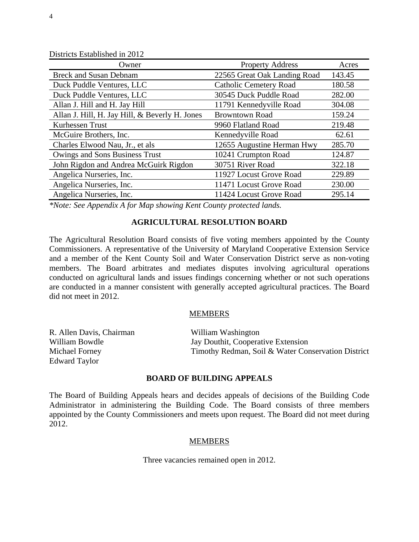| рилско ромонопсе ні 2017                       |                               |        |
|------------------------------------------------|-------------------------------|--------|
| Owner                                          | <b>Property Address</b>       | Acres  |
| <b>Breck and Susan Debnam</b>                  | 22565 Great Oak Landing Road  | 143.45 |
| Duck Puddle Ventures, LLC                      | <b>Catholic Cemetery Road</b> | 180.58 |
| Duck Puddle Ventures, LLC                      | 30545 Duck Puddle Road        | 282.00 |
| Allan J. Hill and H. Jay Hill                  | 11791 Kennedyville Road       | 304.08 |
| Allan J. Hill, H. Jay Hill, & Beverly H. Jones | <b>Browntown Road</b>         | 159.24 |
| Kurhessen Trust                                | 9960 Flatland Road            | 219.48 |
| McGuire Brothers, Inc.                         | Kennedyville Road             | 62.61  |
| Charles Elwood Nau, Jr., et als                | 12655 Augustine Herman Hwy    | 285.70 |
| Owings and Sons Business Trust                 | 10241 Crumpton Road           | 124.87 |
| John Rigdon and Andrea McGuirk Rigdon          | 30751 River Road              | 322.18 |
| Angelica Nurseries, Inc.                       | 11927 Locust Grove Road       | 229.89 |
| Angelica Nurseries, Inc.                       | 11471 Locust Grove Road       | 230.00 |
| Angelica Nurseries, Inc.                       | 11424 Locust Grove Road       | 295.14 |

Districts Established in 2012

*\*Note: See Appendix A for Map showing Kent County protected lands.* 

# **AGRICULTURAL RESOLUTION BOARD**

The Agricultural Resolution Board consists of five voting members appointed by the County Commissioners. A representative of the University of Maryland Cooperative Extension Service and a member of the Kent County Soil and Water Conservation District serve as non-voting members. The Board arbitrates and mediates disputes involving agricultural operations conducted on agricultural lands and issues findings concerning whether or not such operations are conducted in a manner consistent with generally accepted agricultural practices. The Board did not meet in 2012.

#### MEMBERS

| R. Allen Davis, Chairman | William Washington                                 |
|--------------------------|----------------------------------------------------|
| William Bowdle           | Jay Douthit, Cooperative Extension                 |
| Michael Forney           | Timothy Redman, Soil & Water Conservation District |
| Edward Taylor            |                                                    |

#### **BOARD OF BUILDING APPEALS**

The Board of Building Appeals hears and decides appeals of decisions of the Building Code Administrator in administering the Building Code. The Board consists of three members appointed by the County Commissioners and meets upon request. The Board did not meet during 2012.

#### MEMBERS

Three vacancies remained open in 2012.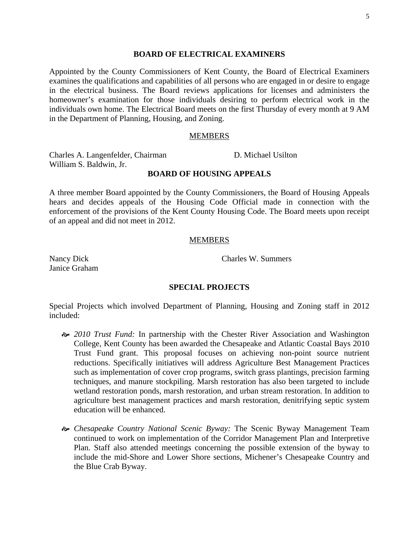#### **BOARD OF ELECTRICAL EXAMINERS**

Appointed by the County Commissioners of Kent County, the Board of Electrical Examiners examines the qualifications and capabilities of all persons who are engaged in or desire to engage in the electrical business. The Board reviews applications for licenses and administers the homeowner's examination for those individuals desiring to perform electrical work in the individuals own home. The Electrical Board meets on the first Thursday of every month at 9 AM in the Department of Planning, Housing, and Zoning.

#### MEMBERS

Charles A. Langenfelder, Chairman William S. Baldwin, Jr.

#### **BOARD OF HOUSING APPEALS**

A three member Board appointed by the County Commissioners, the Board of Housing Appeals hears and decides appeals of the Housing Code Official made in connection with the enforcement of the provisions of the Kent County Housing Code. The Board meets upon receipt of an appeal and did not meet in 2012.

#### MEMBERS

Nancy Dick Janice Graham Charles W. Summers

D. Michael Usilton

#### **SPECIAL PROJECTS**

Special Projects which involved Department of Planning, Housing and Zoning staff in 2012 included:

- [ *2010 Trust Fund:* In partnership with the Chester River Association and Washington College, Kent County has been awarded the Chesapeake and Atlantic Coastal Bays 2010 Trust Fund grant. This proposal focuses on achieving non-point source nutrient reductions. Specifically initiatives will address Agriculture Best Management Practices such as implementation of cover crop programs, switch grass plantings, precision farming techniques, and manure stockpiling. Marsh restoration has also been targeted to include wetland restoration ponds, marsh restoration, and urban stream restoration. In addition to agriculture best management practices and marsh restoration, denitrifying septic system education will be enhanced.
- [ *Chesapeake Country National Scenic Byway:* The Scenic Byway Management Team continued to work on implementation of the Corridor Management Plan and Interpretive Plan. Staff also attended meetings concerning the possible extension of the byway to include the mid-Shore and Lower Shore sections, Michener's Chesapeake Country and the Blue Crab Byway.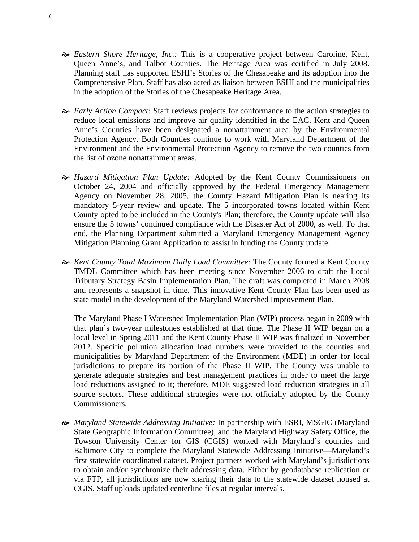- [ *Eastern Shore Heritage, Inc.:* This is a cooperative project between Caroline, Kent, Queen Anne's, and Talbot Counties. The Heritage Area was certified in July 2008. Planning staff has supported ESHI's Stories of the Chesapeake and its adoption into the Comprehensive Plan. Staff has also acted as liaison between ESHI and the municipalities in the adoption of the Stories of the Chesapeake Heritage Area.
- [ *Early Action Compact:* Staff reviews projects for conformance to the action strategies to reduce local emissions and improve air quality identified in the EAC. Kent and Queen Anne's Counties have been designated a nonattainment area by the Environmental Protection Agency. Both Counties continue to work with Maryland Department of the Environment and the Environmental Protection Agency to remove the two counties from the list of ozone nonattainment areas.
- [ *Hazard Mitigation Plan Update:* Adopted by the Kent County Commissioners on October 24, 2004 and officially approved by the Federal Emergency Management Agency on November 28, 2005, the County Hazard Mitigation Plan is nearing its mandatory 5-year review and update. The 5 incorporated towns located within Kent County opted to be included in the County's Plan; therefore, the County update will also ensure the 5 towns' continued compliance with the Disaster Act of 2000, as well*.* To that end, the Planning Department submitted a Maryland Emergency Management Agency Mitigation Planning Grant Application to assist in funding the County update.
- [ *Kent County Total Maximum Daily Load Committee:* The County formed a Kent County TMDL Committee which has been meeting since November 2006 to draft the Local Tributary Strategy Basin Implementation Plan. The draft was completed in March 2008 and represents a snapshot in time. This innovative Kent County Plan has been used as state model in the development of the Maryland Watershed Improvement Plan.

The Maryland Phase I Watershed Implementation Plan (WIP) process began in 2009 with that plan's two-year milestones established at that time. The Phase II WIP began on a local level in Spring 2011 and the Kent County Phase II WIP was finalized in November 2012. Specific pollution allocation load numbers were provided to the counties and municipalities by Maryland Department of the Environment (MDE) in order for local jurisdictions to prepare its portion of the Phase II WIP. The County was unable to generate adequate strategies and best management practices in order to meet the large load reductions assigned to it; therefore, MDE suggested load reduction strategies in all source sectors. These additional strategies were not officially adopted by the County Commissioners.

[ *Maryland Statewide Addressing Initiative:* In partnership with ESRI, MSGIC (Maryland State Geographic Information Committee), and the Maryland Highway Safety Office, the Towson University Center for GIS (CGIS) worked with Maryland's counties and Baltimore City to complete the Maryland Statewide Addressing Initiative—Maryland's first statewide coordinated dataset. Project partners worked with Maryland's jurisdictions to obtain and/or synchronize their addressing data. Either by geodatabase replication or via FTP, all jurisdictions are now sharing their data to the statewide dataset housed at CGIS. Staff uploads updated centerline files at regular intervals.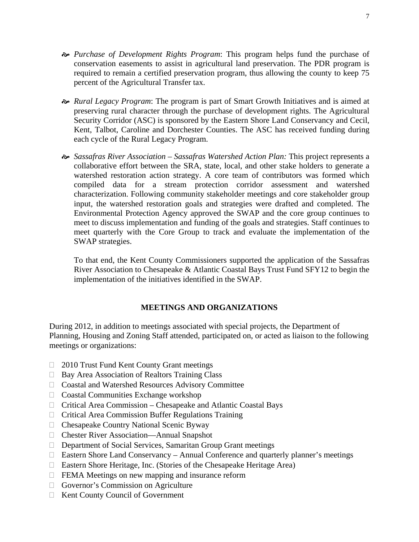- [ *Purchase of Development Rights Program*: This program helps fund the purchase of conservation easements to assist in agricultural land preservation. The PDR program is required to remain a certified preservation program, thus allowing the county to keep 75 percent of the Agricultural Transfer tax.
- [ *Rural Legacy Program*: The program is part of Smart Growth Initiatives and is aimed at preserving rural character through the purchase of development rights. The Agricultural Security Corridor (ASC) is sponsored by the Eastern Shore Land Conservancy and Cecil, Kent, Talbot, Caroline and Dorchester Counties. The ASC has received funding during each cycle of the Rural Legacy Program.
- [ *Sassafras River Association Sassafras Watershed Action Plan:* This project represents a collaborative effort between the SRA, state, local, and other stake holders to generate a watershed restoration action strategy. A core team of contributors was formed which compiled data for a stream protection corridor assessment and watershed characterization. Following community stakeholder meetings and core stakeholder group input, the watershed restoration goals and strategies were drafted and completed. The Environmental Protection Agency approved the SWAP and the core group continues to meet to discuss implementation and funding of the goals and strategies. Staff continues to meet quarterly with the Core Group to track and evaluate the implementation of the SWAP strategies.

To that end, the Kent County Commissioners supported the application of the Sassafras River Association to Chesapeake & Atlantic Coastal Bays Trust Fund SFY12 to begin the implementation of the initiatives identified in the SWAP.

# **MEETINGS AND ORGANIZATIONS**

During 2012, in addition to meetings associated with special projects, the Department of Planning, Housing and Zoning Staff attended, participated on, or acted as liaison to the following meetings or organizations:

- □ 2010 Trust Fund Kent County Grant meetings
- $\Box$  Bay Area Association of Realtors Training Class
- Coastal and Watershed Resources Advisory Committee
- Coastal Communities Exchange workshop
- $\Box$  Critical Area Commission Chesapeake and Atlantic Coastal Bays
- $\Box$  Critical Area Commission Buffer Regulations Training
- □ Chesapeake Country National Scenic Byway
- □ Chester River Association—Annual Snapshot
- Department of Social Services, Samaritan Group Grant meetings
- Eastern Shore Land Conservancy Annual Conference and quarterly planner's meetings
- Eastern Shore Heritage, Inc. (Stories of the Chesapeake Heritage Area)
- □ FEMA Meetings on new mapping and insurance reform
- Governor's Commission on Agriculture
- $\Box$  Kent County Council of Government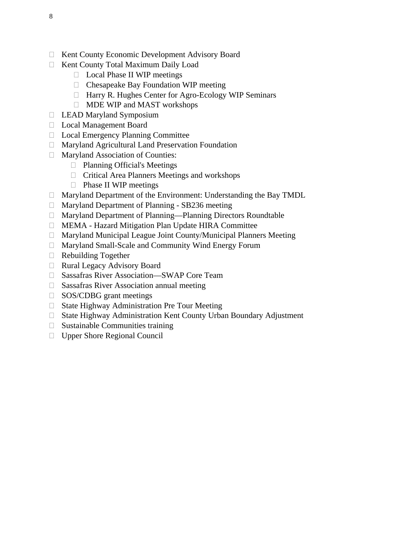- □ Kent County Economic Development Advisory Board
- □ Kent County Total Maximum Daily Load
	- □ Local Phase II WIP meetings
	- $\Box$  Chesapeake Bay Foundation WIP meeting
	- □ Harry R. Hughes Center for Agro-Ecology WIP Seminars
	- MDE WIP and MAST workshops
- □ LEAD Maryland Symposium
- Local Management Board
- □ Local Emergency Planning Committee
- Maryland Agricultural Land Preservation Foundation
- Maryland Association of Counties:
	- □ Planning Official's Meetings
	- $\Box$  Critical Area Planners Meetings and workshops
	- $\Box$  Phase II WIP meetings
- Maryland Department of the Environment: Understanding the Bay TMDL
- Maryland Department of Planning SB236 meeting
- Maryland Department of Planning—Planning Directors Roundtable
- MEMA Hazard Mitigation Plan Update HIRA Committee
- $\Box$  Maryland Municipal League Joint County/Municipal Planners Meeting
- Maryland Small-Scale and Community Wind Energy Forum
- $\Box$  Rebuilding Together
- □ Rural Legacy Advisory Board
- □ Sassafras River Association—SWAP Core Team
- $\square$  Sassafras River Association annual meeting
- □ SOS/CDBG grant meetings
- □ State Highway Administration Pre Tour Meeting
- State Highway Administration Kent County Urban Boundary Adjustment
- $\Box$  Sustainable Communities training
- □ Upper Shore Regional Council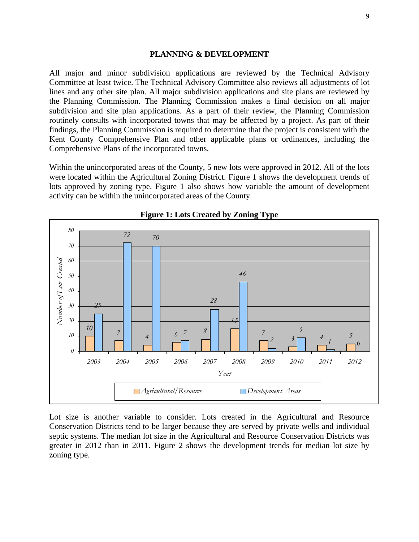#### **PLANNING & DEVELOPMENT**

All major and minor subdivision applications are reviewed by the Technical Advisory Committee at least twice. The Technical Advisory Committee also reviews all adjustments of lot lines and any other site plan. All major subdivision applications and site plans are reviewed by the Planning Commission. The Planning Commission makes a final decision on all major subdivision and site plan applications. As a part of their review, the Planning Commission routinely consults with incorporated towns that may be affected by a project. As part of their findings, the Planning Commission is required to determine that the project is consistent with the Kent County Comprehensive Plan and other applicable plans or ordinances, including the Comprehensive Plans of the incorporated towns.

Within the unincorporated areas of the County, 5 new lots were approved in 2012. All of the lots were located within the Agricultural Zoning District. Figure 1 shows the development trends of lots approved by zoning type. Figure 1 also shows how variable the amount of development activity can be within the unincorporated areas of the County.





Lot size is another variable to consider. Lots created in the Agricultural and Resource Conservation Districts tend to be larger because they are served by private wells and individual septic systems. The median lot size in the Agricultural and Resource Conservation Districts was greater in 2012 than in 2011. Figure 2 shows the development trends for median lot size by zoning type.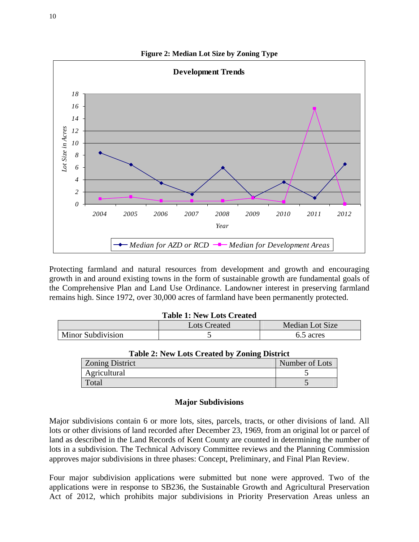

Protecting farmland and natural resources from development and growth and encouraging growth in and around existing towns in the form of sustainable growth are fundamental goals of the Comprehensive Plan and Land Use Ordinance. Landowner interest in preserving farmland remains high. Since 1972, over 30,000 acres of farmland have been permanently protected.

#### **Table 1: New Lots Created**

|                   | Lots Created | Median Lot Size |
|-------------------|--------------|-----------------|
| Minor Subdivision |              | 6.5 acres       |

| Table 2. I've Lots Created by Zonnig District |                |  |
|-----------------------------------------------|----------------|--|
| <b>Zoning District</b>                        | Number of Lots |  |
| Agricultural                                  |                |  |
| Total                                         |                |  |

#### **Table 2: New Lots Created by Zoning District**

#### **Major Subdivisions**

Major subdivisions contain 6 or more lots, sites, parcels, tracts, or other divisions of land. All lots or other divisions of land recorded after December 23, 1969, from an original lot or parcel of land as described in the Land Records of Kent County are counted in determining the number of lots in a subdivision. The Technical Advisory Committee reviews and the Planning Commission approves major subdivisions in three phases: Concept, Preliminary, and Final Plan Review.

Four major subdivision applications were submitted but none were approved. Two of the applications were in response to SB236, the Sustainable Growth and Agricultural Preservation Act of 2012, which prohibits major subdivisions in Priority Preservation Areas unless an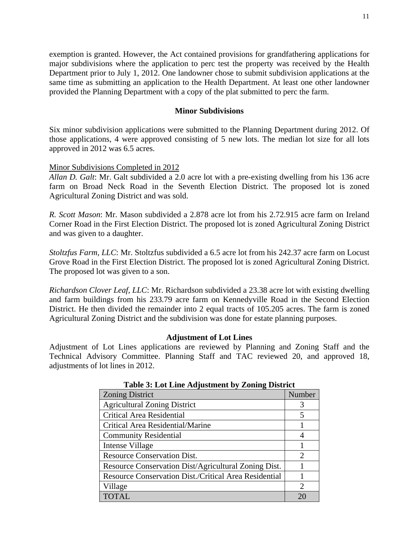exemption is granted. However, the Act contained provisions for grandfathering applications for major subdivisions where the application to perc test the property was received by the Health Department prior to July 1, 2012. One landowner chose to submit subdivision applications at the same time as submitting an application to the Health Department. At least one other landowner provided the Planning Department with a copy of the plat submitted to perc the farm.

#### **Minor Subdivisions**

Six minor subdivision applications were submitted to the Planning Department during 2012. Of those applications, 4 were approved consisting of 5 new lots. The median lot size for all lots approved in 2012 was 6.5 acres.

#### Minor Subdivisions Completed in 2012

*Allan D. Galt*: Mr. Galt subdivided a 2.0 acre lot with a pre-existing dwelling from his 136 acre farm on Broad Neck Road in the Seventh Election District. The proposed lot is zoned Agricultural Zoning District and was sold.

*R. Scott Mason*: Mr. Mason subdivided a 2.878 acre lot from his 2.72.915 acre farm on Ireland Corner Road in the First Election District. The proposed lot is zoned Agricultural Zoning District and was given to a daughter.

*Stoltzfus Farm, LLC*: Mr. Stoltzfus subdivided a 6.5 acre lot from his 242.37 acre farm on Locust Grove Road in the First Election District. The proposed lot is zoned Agricultural Zoning District. The proposed lot was given to a son.

*Richardson Clover Leaf, LLC*: Mr. Richardson subdivided a 23.38 acre lot with existing dwelling and farm buildings from his 233.79 acre farm on Kennedyville Road in the Second Election District. He then divided the remainder into 2 equal tracts of 105.205 acres. The farm is zoned Agricultural Zoning District and the subdivision was done for estate planning purposes.

#### **Adjustment of Lot Lines**

Adjustment of Lot Lines applications are reviewed by Planning and Zoning Staff and the Technical Advisory Committee. Planning Staff and TAC reviewed 20, and approved 18, adjustments of lot lines in 2012.

| Table of Dot Ellie Augustinent by Eviling District           |        |  |
|--------------------------------------------------------------|--------|--|
| <b>Zoning District</b>                                       | Number |  |
| <b>Agricultural Zoning District</b>                          | 3      |  |
| Critical Area Residential                                    | 5      |  |
| Critical Area Residential/Marine                             |        |  |
| <b>Community Residential</b>                                 | 4      |  |
| Intense Village                                              |        |  |
| <b>Resource Conservation Dist.</b>                           | 2      |  |
| Resource Conservation Dist/Agricultural Zoning Dist.         |        |  |
| <b>Resource Conservation Dist./Critical Area Residential</b> |        |  |
| Village                                                      | 2      |  |
| <b>TOTAL</b>                                                 | 20     |  |

| <b>Table 3: Lot Line Adjustment by Zoning District</b> |  |
|--------------------------------------------------------|--|
|--------------------------------------------------------|--|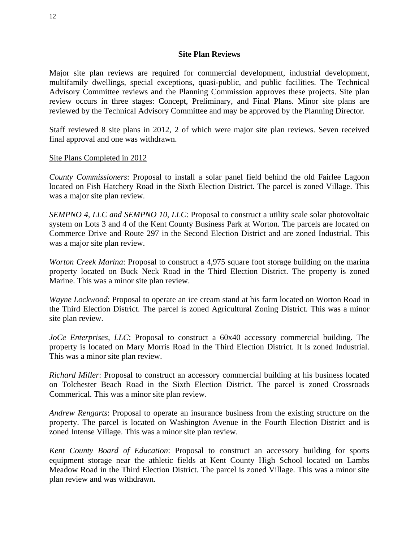#### **Site Plan Reviews**

Major site plan reviews are required for commercial development, industrial development, multifamily dwellings, special exceptions, quasi-public, and public facilities. The Technical Advisory Committee reviews and the Planning Commission approves these projects. Site plan review occurs in three stages: Concept, Preliminary, and Final Plans. Minor site plans are reviewed by the Technical Advisory Committee and may be approved by the Planning Director.

Staff reviewed 8 site plans in 2012, 2 of which were major site plan reviews. Seven received final approval and one was withdrawn.

# Site Plans Completed in 2012

*County Commissioners*: Proposal to install a solar panel field behind the old Fairlee Lagoon located on Fish Hatchery Road in the Sixth Election District. The parcel is zoned Village. This was a major site plan review.

*SEMPNO 4, LLC and SEMPNO 10, LLC*: Proposal to construct a utility scale solar photovoltaic system on Lots 3 and 4 of the Kent County Business Park at Worton. The parcels are located on Commerce Drive and Route 297 in the Second Election District and are zoned Industrial. This was a major site plan review.

*Worton Creek Marina*: Proposal to construct a 4,975 square foot storage building on the marina property located on Buck Neck Road in the Third Election District. The property is zoned Marine. This was a minor site plan review.

*Wayne Lockwood*: Proposal to operate an ice cream stand at his farm located on Worton Road in the Third Election District. The parcel is zoned Agricultural Zoning District. This was a minor site plan review.

*JoCe Enterprises, LLC*: Proposal to construct a 60x40 accessory commercial building. The property is located on Mary Morris Road in the Third Election District. It is zoned Industrial. This was a minor site plan review.

*Richard Miller*: Proposal to construct an accessory commercial building at his business located on Tolchester Beach Road in the Sixth Election District. The parcel is zoned Crossroads Commerical. This was a minor site plan review.

*Andrew Rengarts*: Proposal to operate an insurance business from the existing structure on the property. The parcel is located on Washington Avenue in the Fourth Election District and is zoned Intense Village. This was a minor site plan review.

*Kent County Board of Education*: Proposal to construct an accessory building for sports equipment storage near the athletic fields at Kent County High School located on Lambs Meadow Road in the Third Election District. The parcel is zoned Village. This was a minor site plan review and was withdrawn.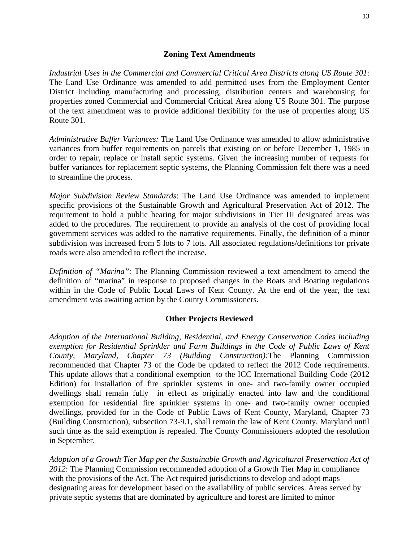## **Zoning Text Amendments**

*Industrial Uses in the Commercial and Commercial Critical Area Districts along US Route 301*: The Land Use Ordinance was amended to add permitted uses from the Employment Center District including manufacturing and processing, distribution centers and warehousing for properties zoned Commercial and Commercial Critical Area along US Route 301. The purpose of the text amendment was to provide additional flexibility for the use of properties along US Route 301.

*Administrative Buffer Variances:* The Land Use Ordinance was amended to allow administrative variances from buffer requirements on parcels that existing on or before December 1, 1985 in order to repair, replace or install septic systems. Given the increasing number of requests for buffer variances for replacement septic systems, the Planning Commission felt there was a need to streamline the process.

*Major Subdivision Review Standards*: The Land Use Ordinance was amended to implement specific provisions of the Sustainable Growth and Agricultural Preservation Act of 2012. The requirement to hold a public hearing for major subdivisions in Tier III designated areas was added to the procedures. The requirement to provide an analysis of the cost of providing local government services was added to the narrative requirements. Finally, the definition of a minor subdivision was increased from 5 lots to 7 lots. All associated regulations/definitions for private roads were also amended to reflect the increase.

*Definition of "Marina"*: The Planning Commission reviewed a text amendment to amend the definition of "marina" in response to proposed changes in the Boats and Boating regulations within in the Code of Public Local Laws of Kent County. At the end of the year, the text amendment was awaiting action by the County Commissioners.

# **Other Projects Reviewed**

*Adoption of the International Building, Residential, and Energy Conservation Codes including exemption for Residential Sprinkler and Farm Buildings in the Code of Public Laws of Kent County, Maryland, Chapter 73 (Building Construction):*The Planning Commission recommended that Chapter 73 of the Code be updated to reflect the 2012 Code requirements. This update allows that a conditional exemption to the ICC International Building Code (2012 Edition) for installation of fire sprinkler systems in one- and two-family owner occupied dwellings shall remain fully in effect as originally enacted into law and the conditional exemption for residential fire sprinkler systems in one- and two-family owner occupied dwellings, provided for in the Code of Public Laws of Kent County, Maryland, Chapter 73 (Building Construction), subsection 73-9.1, shall remain the law of Kent County, Maryland until such time as the said exemption is repealed. The County Commissioners adopted the resolution in September.

*Adoption of a Growth Tier Map per the Sustainable Growth and Agricultural Preservation Act of 2012*: The Planning Commission recommended adoption of a Growth Tier Map in compliance with the provisions of the Act. The Act required jurisdictions to develop and adopt maps designating areas for development based on the availability of public services. Areas served by private septic systems that are dominated by agriculture and forest are limited to minor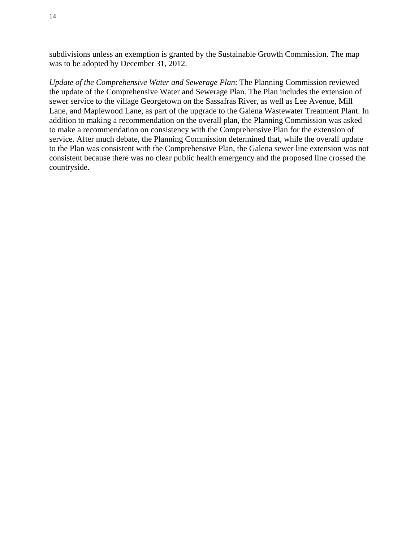subdivisions unless an exemption is granted by the Sustainable Growth Commission. The map was to be adopted by December 31, 2012.

*Update of the Comprehensive Water and Sewerage Plan*: The Planning Commission reviewed the update of the Comprehensive Water and Sewerage Plan. The Plan includes the extension of sewer service to the village Georgetown on the Sassafras River, as well as Lee Avenue, Mill Lane, and Maplewood Lane, as part of the upgrade to the Galena Wastewater Treatment Plant. In addition to making a recommendation on the overall plan, the Planning Commission was asked to make a recommendation on consistency with the Comprehensive Plan for the extension of service. After much debate, the Planning Commission determined that, while the overall update to the Plan was consistent with the Comprehensive Plan, the Galena sewer line extension was not consistent because there was no clear public health emergency and the proposed line crossed the countryside.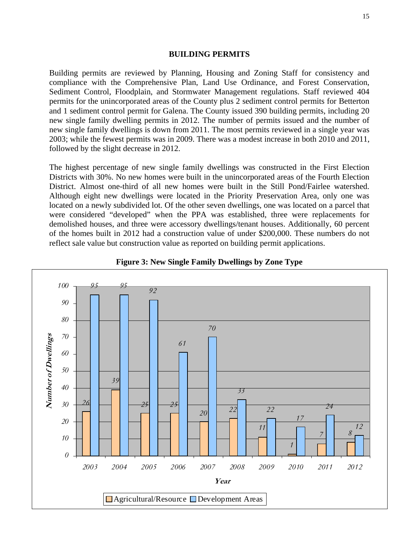#### **BUILDING PERMITS**

Building permits are reviewed by Planning, Housing and Zoning Staff for consistency and compliance with the Comprehensive Plan, Land Use Ordinance, and Forest Conservation, Sediment Control, Floodplain, and Stormwater Management regulations. Staff reviewed 404 permits for the unincorporated areas of the County plus 2 sediment control permits for Betterton and 1 sediment control permit for Galena. The County issued 390 building permits, including 20 new single family dwelling permits in 2012. The number of permits issued and the number of new single family dwellings is down from 2011. The most permits reviewed in a single year was 2003; while the fewest permits was in 2009. There was a modest increase in both 2010 and 2011, followed by the slight decrease in 2012.

The highest percentage of new single family dwellings was constructed in the First Election Districts with 30%. No new homes were built in the unincorporated areas of the Fourth Election District. Almost one-third of all new homes were built in the Still Pond/Fairlee watershed. Although eight new dwellings were located in the Priority Preservation Area, only one was located on a newly subdivided lot. Of the other seven dwellings, one was located on a parcel that were considered "developed" when the PPA was established, three were replacements for demolished houses, and three were accessory dwellings/tenant houses. Additionally, 60 percent of the homes built in 2012 had a construction value of under \$200,000. These numbers do not reflect sale value but construction value as reported on building permit applications.



**Figure 3: New Single Family Dwellings by Zone Type**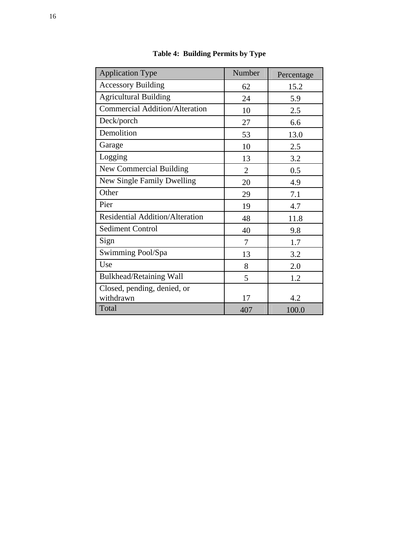| <b>Application Type</b>                  | Number         | Percentage |
|------------------------------------------|----------------|------------|
| <b>Accessory Building</b>                | 62             | 15.2       |
| <b>Agricultural Building</b>             | 24             | 5.9        |
| <b>Commercial Addition/Alteration</b>    | 10             | 2.5        |
| Deck/porch                               | 27             | 6.6        |
| Demolition                               | 53             | 13.0       |
| Garage                                   | 10             | 2.5        |
| Logging                                  | 13             | 3.2        |
| <b>New Commercial Building</b>           | $\overline{2}$ | 0.5        |
| New Single Family Dwelling               | 20             | 4.9        |
| Other                                    | 29             | 7.1        |
| Pier                                     | 19             | 4.7        |
| <b>Residential Addition/Alteration</b>   | 48             | 11.8       |
| <b>Sediment Control</b>                  | 40             | 9.8        |
| Sign                                     | 7              | 1.7        |
| Swimming Pool/Spa                        | 13             | 3.2        |
| Use                                      | 8              | 2.0        |
| <b>Bulkhead/Retaining Wall</b>           | 5              | 1.2        |
| Closed, pending, denied, or<br>withdrawn | 17             | 4.2        |
| Total                                    | 407            | 100.0      |

**Table 4: Building Permits by Type**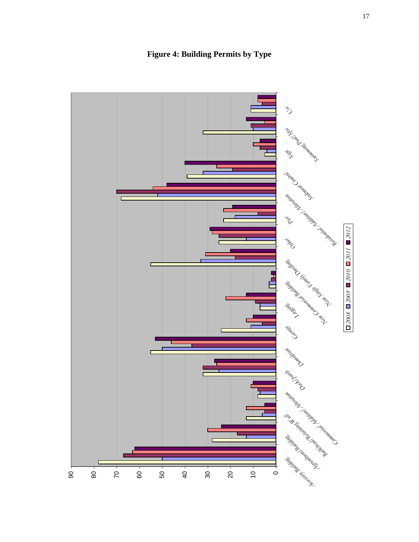

**Figure 4: Building Permits by Type**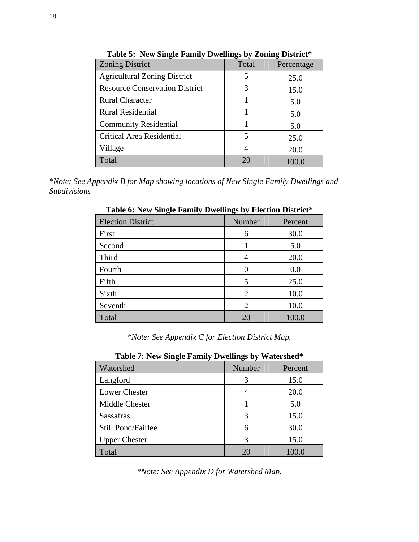| <b>Zoning District</b>                | Total | Percentage |
|---------------------------------------|-------|------------|
| <b>Agricultural Zoning District</b>   | 5     | 25.0       |
| <b>Resource Conservation District</b> | 3     | 15.0       |
| <b>Rural Character</b>                |       | 5.0        |
| <b>Rural Residential</b>              |       | 5.0        |
| <b>Community Residential</b>          |       | 5.0        |
| Critical Area Residential             | 5     | 25.0       |
| Village                               |       | 20.0       |
| Total                                 | 20    | 100.0      |

**Table 5: New Single Family Dwellings by Zoning District\*** 

*\*Note: See Appendix B for Map showing locations of New Single Family Dwellings and Subdivisions* 

|                          | - ⇔~ "         |         |
|--------------------------|----------------|---------|
| <b>Election District</b> | Number         | Percent |
| First                    | 6              | 30.0    |
| Second                   |                | 5.0     |
| Third                    |                | 20.0    |
| Fourth                   |                | 0.0     |
| Fifth                    | 5              | 25.0    |
| Sixth                    | $\overline{2}$ | 10.0    |
| Seventh                  | $\overline{2}$ | 10.0    |
| Total                    | 20             | 100.0   |

**Table 6: New Single Family Dwellings by Election District\*** 

*\*Note: See Appendix C for Election District Map.* 

| <b>Table 7: New Stugle Falliny Dwellings by Watershed</b> |        |         |
|-----------------------------------------------------------|--------|---------|
| Watershed                                                 | Number | Percent |
| Langford                                                  |        | 15.0    |
| Lower Chester                                             |        | 20.0    |
| Middle Chester                                            |        | 5.0     |
| <b>Sassafras</b>                                          |        | 15.0    |
| Still Pond/Fairlee                                        | 6      | 30.0    |
| <b>Upper Chester</b>                                      |        | 15.0    |
| Total                                                     |        | 100.0   |

**Table 7: New Single Family Dwellings by Watershed\***

*\*Note: See Appendix D for Watershed Map.*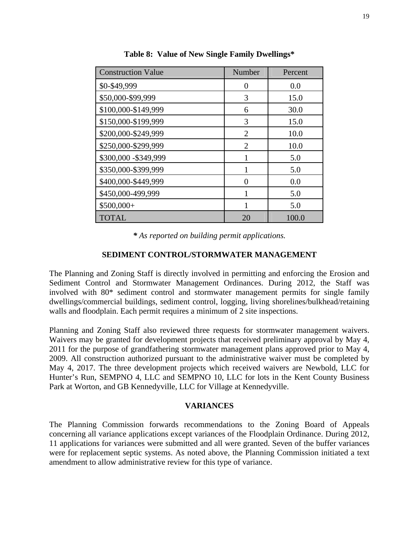| <b>Construction Value</b> | Number         | Percent |
|---------------------------|----------------|---------|
| \$0-\$49,999              | 0              | 0.0     |
| \$50,000-\$99,999         | 3              | 15.0    |
| \$100,000-\$149,999       | 6              | 30.0    |
| \$150,000-\$199,999       | 3              | 15.0    |
| \$200,000-\$249,999       | $\mathfrak{D}$ | 10.0    |
| \$250,000-\$299,999       | $\mathfrak{D}$ | 10.0    |
| \$300,000 - \$349,999     | 1              | 5.0     |
| \$350,000-\$399,999       |                | 5.0     |
| \$400,000-\$449,999       | 0              | 0.0     |
| \$450,000-499,999         | 1              | 5.0     |
| \$500,000+                | 1              | 5.0     |
| <b>TOTAL</b>              | 20             | 100.0   |

**Table 8: Value of New Single Family Dwellings\*** 

*\* As reported on building permit applications.* 

#### **SEDIMENT CONTROL/STORMWATER MANAGEMENT**

The Planning and Zoning Staff is directly involved in permitting and enforcing the Erosion and Sediment Control and Stormwater Management Ordinances. During 2012, the Staff was involved with 80\* sediment control and stormwater management permits for single family dwellings/commercial buildings, sediment control, logging, living shorelines/bulkhead/retaining walls and floodplain. Each permit requires a minimum of 2 site inspections.

Planning and Zoning Staff also reviewed three requests for stormwater management waivers. Waivers may be granted for development projects that received preliminary approval by May 4, 2011 for the purpose of grandfathering stormwater management plans approved prior to May 4, 2009. All construction authorized pursuant to the administrative waiver must be completed by May 4, 2017. The three development projects which received waivers are Newbold, LLC for Hunter's Run, SEMPNO 4, LLC and SEMPNO 10, LLC for lots in the Kent County Business Park at Worton, and GB Kennedyville, LLC for Village at Kennedyville.

#### **VARIANCES**

The Planning Commission forwards recommendations to the Zoning Board of Appeals concerning all variance applications except variances of the Floodplain Ordinance. During 2012, 11 applications for variances were submitted and all were granted. Seven of the buffer variances were for replacement septic systems. As noted above, the Planning Commission initiated a text amendment to allow administrative review for this type of variance.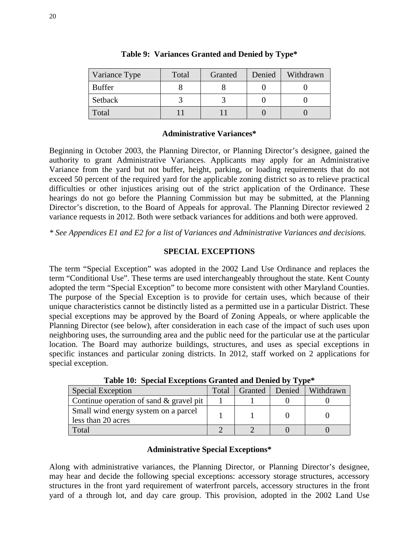| Variance Type | Total | Granted | Denied | Withdrawn |
|---------------|-------|---------|--------|-----------|
| <b>Buffer</b> |       |         |        |           |
| Setback       |       |         |        |           |
| Total         |       |         |        |           |

# **Table 9: Variances Granted and Denied by Type\***

# **Administrative Variances\***

Beginning in October 2003, the Planning Director, or Planning Director's designee, gained the authority to grant Administrative Variances. Applicants may apply for an Administrative Variance from the yard but not buffer, height, parking, or loading requirements that do not exceed 50 percent of the required yard for the applicable zoning district so as to relieve practical difficulties or other injustices arising out of the strict application of the Ordinance. These hearings do not go before the Planning Commission but may be submitted, at the Planning Director's discretion, to the Board of Appeals for approval. The Planning Director reviewed 2 variance requests in 2012. Both were setback variances for additions and both were approved.

*\* See Appendices E1 and E2 for a list of Variances and Administrative Variances and decisions.* 

# **SPECIAL EXCEPTIONS**

The term "Special Exception" was adopted in the 2002 Land Use Ordinance and replaces the term "Conditional Use". These terms are used interchangeably throughout the state. Kent County adopted the term "Special Exception" to become more consistent with other Maryland Counties. The purpose of the Special Exception is to provide for certain uses, which because of their unique characteristics cannot be distinctly listed as a permitted use in a particular District. These special exceptions may be approved by the Board of Zoning Appeals, or where applicable the Planning Director (see below), after consideration in each case of the impact of such uses upon neighboring uses, the surrounding area and the public need for the particular use at the particular location. The Board may authorize buildings, structures, and uses as special exceptions in specific instances and particular zoning districts. In 2012, staff worked on 2 applications for special exception.

| Table TV. Directal Executions Granted and Denied by Type   |       |         |  |                  |
|------------------------------------------------------------|-------|---------|--|------------------|
| Special Exception                                          | Total | Granted |  | Denied Withdrawn |
| Continue operation of sand $\&$ gravel pit                 |       |         |  |                  |
| Small wind energy system on a parcel<br>less than 20 acres |       |         |  |                  |
| Total                                                      |       |         |  |                  |

**Table 10: Special Exceptions Granted and Denied by Type\*** 

# **Administrative Special Exceptions\***

Along with administrative variances, the Planning Director, or Planning Director's designee, may hear and decide the following special exceptions: accessory storage structures, accessory structures in the front yard requirement of waterfront parcels, accessory structures in the front yard of a through lot, and day care group. This provision, adopted in the 2002 Land Use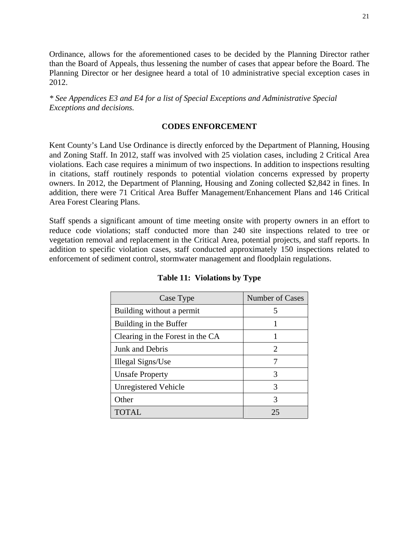Ordinance, allows for the aforementioned cases to be decided by the Planning Director rather than the Board of Appeals, thus lessening the number of cases that appear before the Board. The Planning Director or her designee heard a total of 10 administrative special exception cases in 2012.

*\* See Appendices E3 and E4 for a list of Special Exceptions and Administrative Special Exceptions and decisions.* 

#### **CODES ENFORCEMENT**

Kent County's Land Use Ordinance is directly enforced by the Department of Planning, Housing and Zoning Staff. In 2012, staff was involved with 25 violation cases, including 2 Critical Area violations. Each case requires a minimum of two inspections. In addition to inspections resulting in citations, staff routinely responds to potential violation concerns expressed by property owners. In 2012, the Department of Planning, Housing and Zoning collected \$2,842 in fines. In addition, there were 71 Critical Area Buffer Management/Enhancement Plans and 146 Critical Area Forest Clearing Plans.

Staff spends a significant amount of time meeting onsite with property owners in an effort to reduce code violations; staff conducted more than 240 site inspections related to tree or vegetation removal and replacement in the Critical Area, potential projects, and staff reports. In addition to specific violation cases, staff conducted approximately 150 inspections related to enforcement of sediment control, stormwater management and floodplain regulations.

| Case Type                        | Number of Cases             |
|----------------------------------|-----------------------------|
| Building without a permit        | 5                           |
| Building in the Buffer           |                             |
| Clearing in the Forest in the CA |                             |
| Junk and Debris                  | $\mathcal{D}_{\mathcal{A}}$ |
| Illegal Signs/Use                |                             |
| <b>Unsafe Property</b>           | 3                           |
| <b>Unregistered Vehicle</b>      | 3                           |
| Other                            | 3                           |
| TOTAL                            | 25                          |

#### **Table 11: Violations by Type**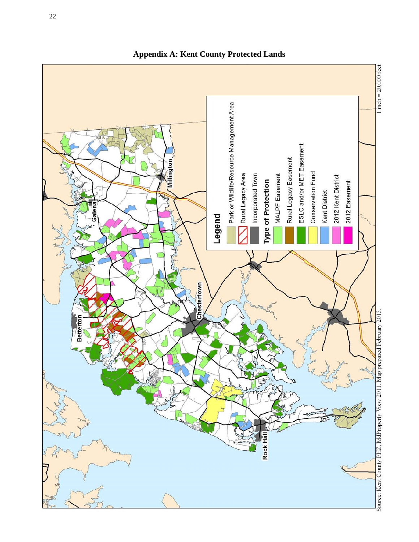

**Appendix A: Kent County Protected Lands**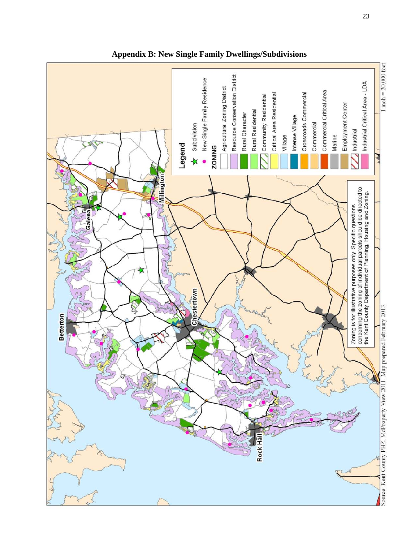

**Appendix B: New Single Family Dwellings/Subdivisions**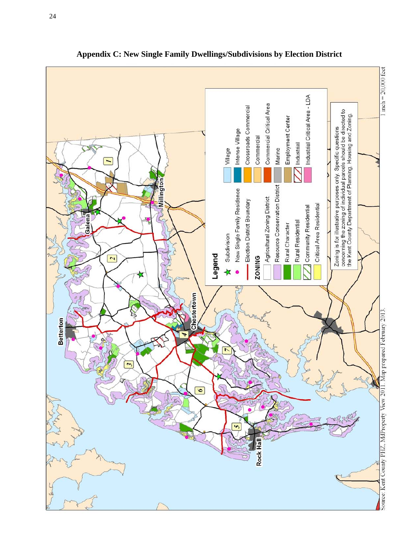

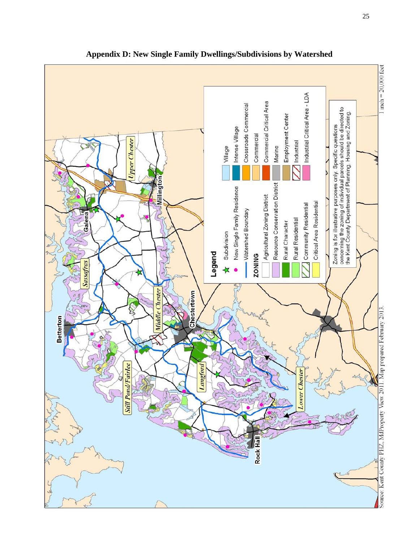

**Appendix D: New Single Family Dwellings/Subdivisions by Watershed**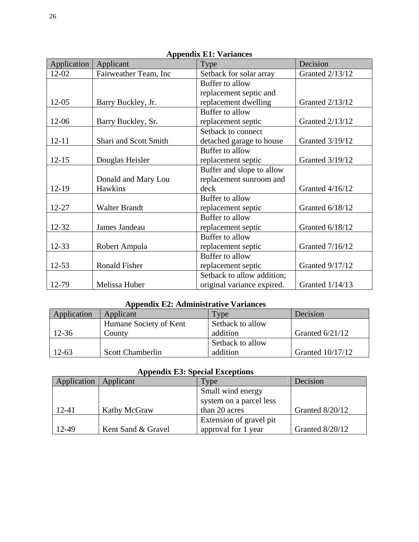| Appellula E1. Valiantes |                       |                            |                        |  |
|-------------------------|-----------------------|----------------------------|------------------------|--|
| Application             | Applicant             | Type                       | Decision               |  |
| 12-02                   | Fairweather Team, Inc | Setback for solar array    | <b>Granted 2/13/12</b> |  |
|                         |                       | Buffer to allow            |                        |  |
|                         |                       | replacement septic and     |                        |  |
| $12 - 05$               | Barry Buckley, Jr.    | replacement dwelling       | Granted 2/13/12        |  |
|                         |                       | Buffer to allow            |                        |  |
| 12-06                   | Barry Buckley, Sr.    | replacement septic         | Granted 2/13/12        |  |
|                         |                       | Setback to connect         |                        |  |
| $12 - 11$               | Shari and Scott Smith | detached garage to house   | Granted 3/19/12        |  |
|                         |                       | Buffer to allow            |                        |  |
| $12 - 15$               | Douglas Heisler       | replacement septic         | Granted 3/19/12        |  |
|                         |                       | Buffer and slope to allow  |                        |  |
|                         | Donald and Mary Lou   | replacement sunroom and    |                        |  |
| $12-19$                 | <b>Hawkins</b>        | deck                       | Granted 4/16/12        |  |
|                         |                       | Buffer to allow            |                        |  |
| 12-27                   | <b>Walter Brandt</b>  | replacement septic         | Granted 6/18/12        |  |
|                         |                       | Buffer to allow            |                        |  |
| 12-32                   | James Jandeau         | replacement septic         | Granted 6/18/12        |  |
|                         |                       | Buffer to allow            |                        |  |
| $12 - 33$               | Robert Ampula         | replacement septic         | Granted 7/16/12        |  |
|                         |                       | Buffer to allow            |                        |  |
| $12 - 53$               | <b>Ronald Fisher</b>  | replacement septic         | Granted 9/17/12        |  |
|                         |                       | Setback to allow addition; |                        |  |
| 12-79                   | Melissa Huber         | original variance expired. | <b>Granted 1/14/13</b> |  |

# **Appendix E1: Variances**

# **Appendix E2: Administrative Variances**

| Application | Applicant               | Type             | Decision          |
|-------------|-------------------------|------------------|-------------------|
|             | Humane Society of Kent  | Setback to allow |                   |
| $12 - 36$   | County                  | addition         | Granted $6/21/12$ |
|             |                         | Setback to allow |                   |
| $12 - 63$   | <b>Scott Chamberlin</b> | addition         | Granted 10/17/12  |

# **Appendix E3: Special Exceptions**

| Application | Applicant          | <b>Type</b>             | Decision        |
|-------------|--------------------|-------------------------|-----------------|
|             |                    | Small wind energy       |                 |
|             |                    | system on a parcel less |                 |
| 12-41       | Kathy McGraw       | than 20 acres           | Granted 8/20/12 |
|             |                    | Extension of gravel pit |                 |
| 12-49       | Kent Sand & Gravel | approval for 1 year     | Granted 8/20/12 |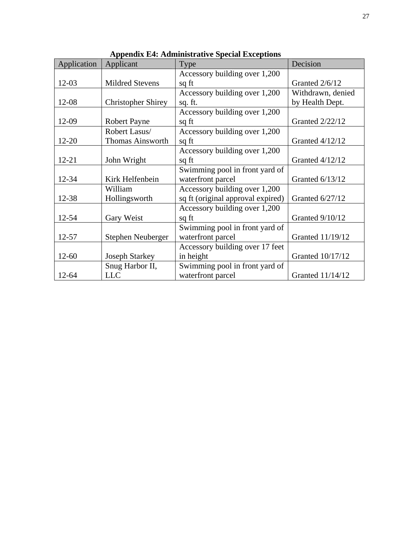| Application | Applicant                 | Type                              | Decision               |
|-------------|---------------------------|-----------------------------------|------------------------|
|             |                           | Accessory building over 1,200     |                        |
| $12 - 03$   | <b>Mildred Stevens</b>    | sq ft                             | Granted 2/6/12         |
|             |                           | Accessory building over 1,200     | Withdrawn, denied      |
| 12-08       | <b>Christopher Shirey</b> | sq. ft.                           | by Health Dept.        |
|             |                           | Accessory building over 1,200     |                        |
| 12-09       | <b>Robert Payne</b>       | sq ft                             | <b>Granted 2/22/12</b> |
|             | Robert Lasus/             | Accessory building over 1,200     |                        |
| $12 - 20$   | <b>Thomas Ainsworth</b>   | sq ft                             | Granted 4/12/12        |
|             |                           | Accessory building over 1,200     |                        |
| $12 - 21$   | John Wright               | sq ft                             | Granted 4/12/12        |
|             |                           | Swimming pool in front yard of    |                        |
| 12-34       | Kirk Helfenbein           | waterfront parcel                 | Granted 6/13/12        |
|             | William                   | Accessory building over 1,200     |                        |
| 12-38       | Hollingsworth             | sq ft (original approval expired) | Granted 6/27/12        |
|             |                           | Accessory building over 1,200     |                        |
| 12-54       | Gary Weist                | sq ft                             | <b>Granted 9/10/12</b> |
|             |                           | Swimming pool in front yard of    |                        |
| 12-57       | Stephen Neuberger         | waterfront parcel                 | Granted 11/19/12       |
|             |                           | Accessory building over 17 feet   |                        |
| $12 - 60$   | <b>Joseph Starkey</b>     | in height                         | Granted 10/17/12       |
|             | Snug Harbor II,           | Swimming pool in front yard of    |                        |
| $12 - 64$   | <b>LLC</b>                | waterfront parcel                 | Granted 11/14/12       |

**Appendix E4: Administrative Special Exceptions**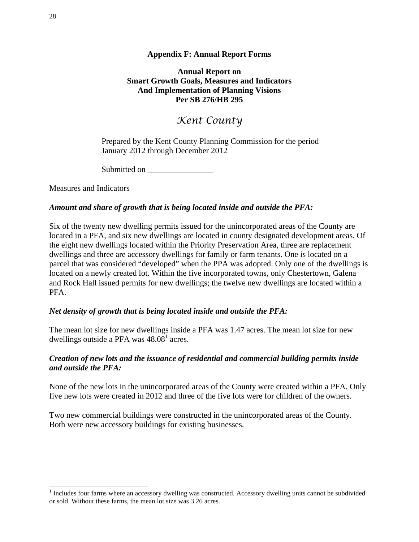# **Appendix F: Annual Report Forms**

**Annual Report on Smart Growth Goals, Measures and Indicators And Implementation of Planning Visions Per SB 276/HB 295** 

# *Kent County*

Prepared by the Kent County Planning Commission for the period January 2012 through December 2012

Submitted on

Measures and Indicators

# *Amount and share of growth that is being located inside and outside the PFA:*

Six of the twenty new dwelling permits issued for the unincorporated areas of the County are located in a PFA, and six new dwellings are located in county designated development areas. Of the eight new dwellings located within the Priority Preservation Area, three are replacement dwellings and three are accessory dwellings for family or farm tenants. One is located on a parcel that was considered "developed" when the PPA was adopted. Only one of the dwellings is located on a newly created lot. Within the five incorporated towns, only Chestertown, Galena and Rock Hall issued permits for new dwellings; the twelve new dwellings are located within a PFA.

# *Net density of growth that is being located inside and outside the PFA:*

The mean lot size for new dwellings inside a PFA was 1.47 acres. The mean lot size for new dwellings outside a PFA was  $48.08^1$  acres.

# *Creation of new lots and the issuance of residential and commercial building permits inside and outside the PFA:*

None of the new lots in the unincorporated areas of the County were created within a PFA. Only five new lots were created in 2012 and three of the five lots were for children of the owners.

Two new commercial buildings were constructed in the unincorporated areas of the County. Both were new accessory buildings for existing businesses.

 $\overline{\phantom{a}}$ 

<sup>&</sup>lt;sup>1</sup> Includes four farms where an accessory dwelling was constructed. Accessory dwelling units cannot be subdivided or sold. Without these farms, the mean lot size was 3.26 acres.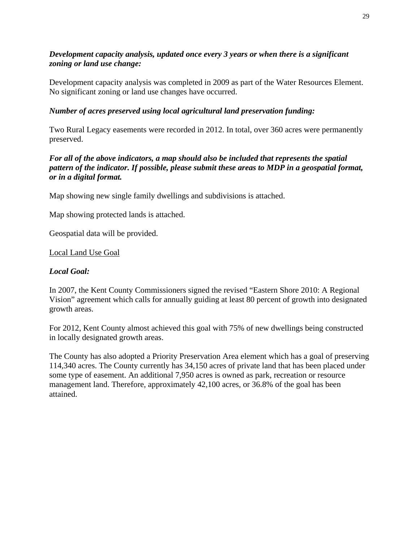# *Development capacity analysis, updated once every 3 years or when there is a significant zoning or land use change:*

Development capacity analysis was completed in 2009 as part of the Water Resources Element. No significant zoning or land use changes have occurred.

# *Number of acres preserved using local agricultural land preservation funding:*

Two Rural Legacy easements were recorded in 2012. In total, over 360 acres were permanently preserved.

# *For all of the above indicators, a map should also be included that represents the spatial pattern of the indicator. If possible, please submit these areas to MDP in a geospatial format, or in a digital format.*

Map showing new single family dwellings and subdivisions is attached.

Map showing protected lands is attached.

Geospatial data will be provided.

# Local Land Use Goal

# *Local Goal:*

In 2007, the Kent County Commissioners signed the revised "Eastern Shore 2010: A Regional Vision" agreement which calls for annually guiding at least 80 percent of growth into designated growth areas.

For 2012, Kent County almost achieved this goal with 75% of new dwellings being constructed in locally designated growth areas.

The County has also adopted a Priority Preservation Area element which has a goal of preserving 114,340 acres. The County currently has 34,150 acres of private land that has been placed under some type of easement. An additional 7,950 acres is owned as park, recreation or resource management land. Therefore, approximately 42,100 acres, or 36.8% of the goal has been attained.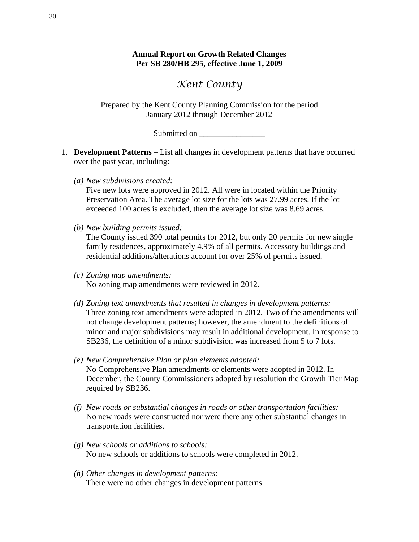# *Kent County*

Prepared by the Kent County Planning Commission for the period January 2012 through December 2012

Submitted on  $\blacksquare$ 

- 1. **Development Patterns** List all changes in development patterns that have occurred over the past year, including:
	- *(a) New subdivisions created:*

Five new lots were approved in 2012. All were in located within the Priority Preservation Area. The average lot size for the lots was 27.99 acres. If the lot exceeded 100 acres is excluded, then the average lot size was 8.69 acres.

*(b) New building permits issued:* 

The County issued 390 total permits for 2012, but only 20 permits for new single family residences, approximately 4.9% of all permits. Accessory buildings and residential additions/alterations account for over 25% of permits issued.

- *(c) Zoning map amendments:*  No zoning map amendments were reviewed in 2012.
- *(d) Zoning text amendments that resulted in changes in development patterns:*  Three zoning text amendments were adopted in 2012. Two of the amendments will not change development patterns; however, the amendment to the definitions of minor and major subdivisions may result in additional development. In response to SB236, the definition of a minor subdivision was increased from 5 to 7 lots.
- *(e) New Comprehensive Plan or plan elements adopted:*  No Comprehensive Plan amendments or elements were adopted in 2012. In December, the County Commissioners adopted by resolution the Growth Tier Map required by SB236.
- *(f) New roads or substantial changes in roads or other transportation facilities:*  No new roads were constructed nor were there any other substantial changes in transportation facilities.
- *(g) New schools or additions to schools:*  No new schools or additions to schools were completed in 2012.
- *(h) Other changes in development patterns:*  There were no other changes in development patterns.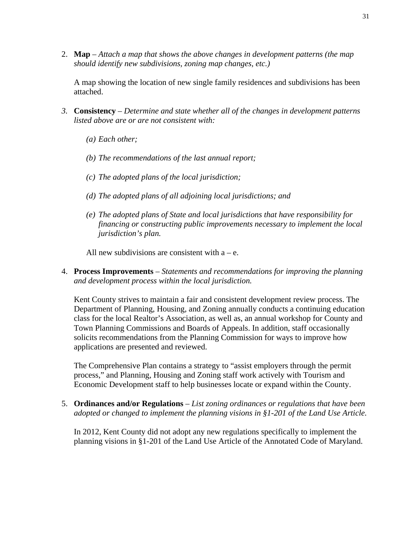2. **Map** – *Attach a map that shows the above changes in development patterns (the map should identify new subdivisions, zoning map changes, etc.)*

A map showing the location of new single family residences and subdivisions has been attached.

- *3.* **Consistency** *Determine and state whether all of the changes in development patterns listed above are or are not consistent with:* 
	- *(a) Each other;*
	- *(b) The recommendations of the last annual report;*
	- *(c) The adopted plans of the local jurisdiction;*
	- *(d) The adopted plans of all adjoining local jurisdictions; and*
	- *(e) The adopted plans of State and local jurisdictions that have responsibility for financing or constructing public improvements necessary to implement the local jurisdiction's plan.*

All new subdivisions are consistent with  $a - e$ .

4. **Process Improvements** – *Statements and recommendations for improving the planning and development process within the local jurisdiction.*

Kent County strives to maintain a fair and consistent development review process. The Department of Planning, Housing, and Zoning annually conducts a continuing education class for the local Realtor's Association, as well as, an annual workshop for County and Town Planning Commissions and Boards of Appeals. In addition, staff occasionally solicits recommendations from the Planning Commission for ways to improve how applications are presented and reviewed.

The Comprehensive Plan contains a strategy to "assist employers through the permit process," and Planning, Housing and Zoning staff work actively with Tourism and Economic Development staff to help businesses locate or expand within the County.

5. **Ordinances and/or Regulations** – *List zoning ordinances or regulations that have been adopted or changed to implement the planning visions in §1-201 of the Land Use Article.* 

In 2012, Kent County did not adopt any new regulations specifically to implement the planning visions in §1-201 of the Land Use Article of the Annotated Code of Maryland.